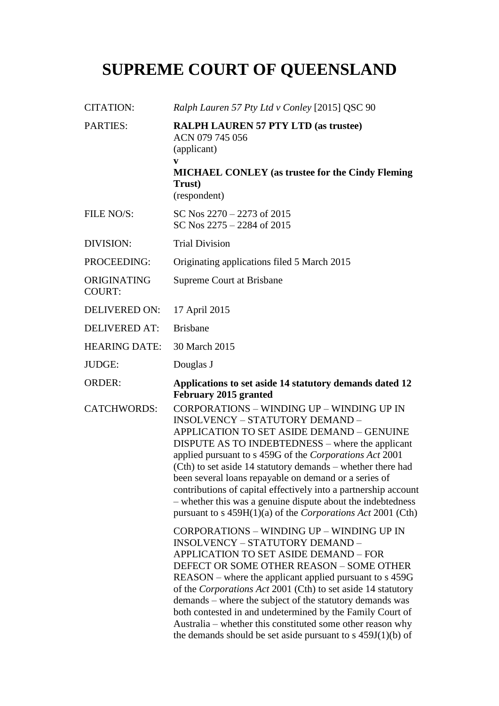# **SUPREME COURT OF QUEENSLAND**

| <b>CITATION:</b>             | Ralph Lauren 57 Pty Ltd v Conley [2015] QSC 90                                                                                                                                                                                                                                                                                                                                                                                                                                                                                                                                           |
|------------------------------|------------------------------------------------------------------------------------------------------------------------------------------------------------------------------------------------------------------------------------------------------------------------------------------------------------------------------------------------------------------------------------------------------------------------------------------------------------------------------------------------------------------------------------------------------------------------------------------|
| <b>PARTIES:</b>              | <b>RALPH LAUREN 57 PTY LTD (as trustee)</b><br>ACN 079 745 056<br>(applicant)<br>V<br><b>MICHAEL CONLEY</b> (as trustee for the Cindy Fleming<br>Trust)<br>(respondent)                                                                                                                                                                                                                                                                                                                                                                                                                  |
| FILE NO/S:                   | SC Nos $2270 - 2273$ of 2015<br>SC Nos $2275 - 2284$ of 2015                                                                                                                                                                                                                                                                                                                                                                                                                                                                                                                             |
| <b>DIVISION:</b>             | <b>Trial Division</b>                                                                                                                                                                                                                                                                                                                                                                                                                                                                                                                                                                    |
| PROCEEDING:                  | Originating applications filed 5 March 2015                                                                                                                                                                                                                                                                                                                                                                                                                                                                                                                                              |
| ORIGINATING<br><b>COURT:</b> | <b>Supreme Court at Brisbane</b>                                                                                                                                                                                                                                                                                                                                                                                                                                                                                                                                                         |
| <b>DELIVERED ON:</b>         | 17 April 2015                                                                                                                                                                                                                                                                                                                                                                                                                                                                                                                                                                            |
| <b>DELIVERED AT:</b>         | <b>Brisbane</b>                                                                                                                                                                                                                                                                                                                                                                                                                                                                                                                                                                          |
| <b>HEARING DATE:</b>         | 30 March 2015                                                                                                                                                                                                                                                                                                                                                                                                                                                                                                                                                                            |
| JUDGE:                       | Douglas J                                                                                                                                                                                                                                                                                                                                                                                                                                                                                                                                                                                |
| <b>ORDER:</b>                | Applications to set aside 14 statutory demands dated 12                                                                                                                                                                                                                                                                                                                                                                                                                                                                                                                                  |
|                              | February 2015 granted                                                                                                                                                                                                                                                                                                                                                                                                                                                                                                                                                                    |
| <b>CATCHWORDS:</b>           | <b>CORPORATIONS - WINDING UP - WINDING UP IN</b><br><b>INSOLVENCY - STATUTORY DEMAND -</b><br>APPLICATION TO SET ASIDE DEMAND - GENUINE<br>DISPUTE AS TO INDEBTEDNESS – where the applicant<br>applied pursuant to s 459G of the Corporations Act 2001<br>(Cth) to set aside 14 statutory demands – whether there had<br>been several loans repayable on demand or a series of<br>contributions of capital effectively into a partnership account<br>- whether this was a genuine dispute about the indebtedness<br>pursuant to s $459H(1)(a)$ of the <i>Corporations Act</i> 2001 (Cth) |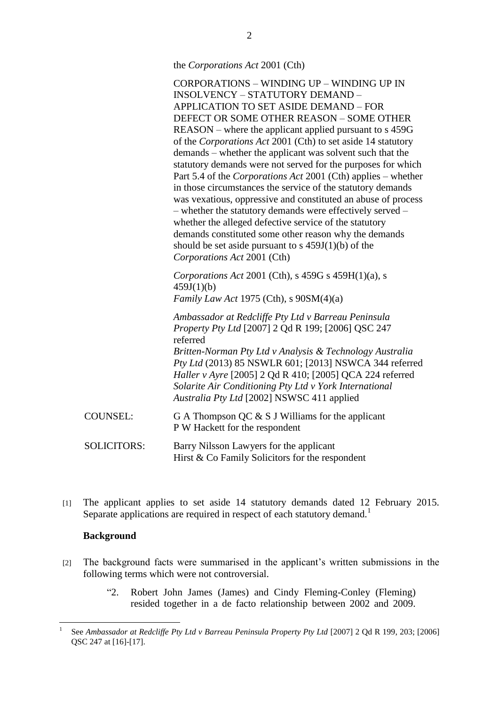the *Corporations Act* 2001 (Cth)

CORPORATIONS – WINDING UP – WINDING UP IN INSOLVENCY – STATUTORY DEMAND – APPLICATION TO SET ASIDE DEMAND – FOR DEFECT OR SOME OTHER REASON – SOME OTHER REASON – where the applicant applied pursuant to s 459G of the *Corporations Act* 2001 (Cth) to set aside 14 statutory demands – whether the applicant was solvent such that the statutory demands were not served for the purposes for which Part 5.4 of the *Corporations Act* 2001 (Cth) applies – whether in those circumstances the service of the statutory demands was vexatious, oppressive and constituted an abuse of process – whether the statutory demands were effectively served – whether the alleged defective service of the statutory demands constituted some other reason why the demands should be set aside pursuant to s  $459J(1)(b)$  of the *Corporations Act* 2001 (Cth)

*Corporations Act* 2001 (Cth), s 459G s 459H(1)(a), s 459J(1)(b) *Family Law Act* 1975 (Cth), s 90SM(4)(a)

*Ambassador at Redcliffe Pty Ltd v Barreau Peninsula Property Pty Ltd* [2007] 2 Qd R 199; [2006] QSC 247 referred *Britten-Norman Pty Ltd v Analysis & Technology Australia Pty Ltd* (2013) 85 NSWLR 601; [2013] NSWCA 344 referred *Haller v Ayre* [2005] 2 Qd R 410; [2005] QCA 224 referred *Solarite Air Conditioning Pty Ltd v York International Australia Pty Ltd* [2002] NSWSC 411 applied

| COUNSEL:           | G A Thompson QC $\&$ S J Williams for the applicant<br>P W Hackett for the respondent        |
|--------------------|----------------------------------------------------------------------------------------------|
| <b>SOLICITORS:</b> | Barry Nilsson Lawyers for the applicant<br>Hirst $& Co Family Solicitors for the respondent$ |

[1] The applicant applies to set aside 14 statutory demands dated 12 February 2015. Separate applications are required in respect of each statutory demand.<sup>1</sup>

## **Background**

 $\overline{a}$ 

- [2] The background facts were summarised in the applicant's written submissions in the following terms which were not controversial.
	- "2. Robert John James (James) and Cindy Fleming-Conley (Fleming) resided together in a de facto relationship between 2002 and 2009.

<sup>1</sup> See *Ambassador at Redcliffe Pty Ltd v Barreau Peninsula Property Pty Ltd* [2007] 2 Qd R 199, 203; [2006] QSC 247 at [16]-[17].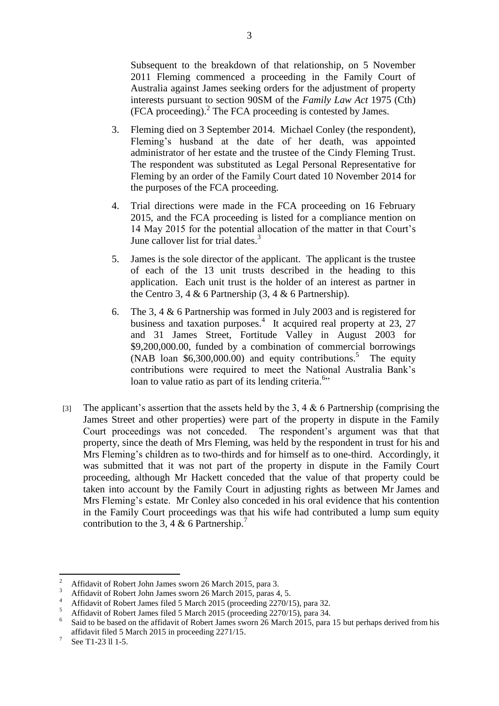Subsequent to the breakdown of that relationship, on 5 November 2011 Fleming commenced a proceeding in the Family Court of Australia against James seeking orders for the adjustment of property interests pursuant to section 90SM of the *Family Law Act* 1975 (Cth) (FCA proceeding).<sup>2</sup> The FCA proceeding is contested by James.

- 3. Fleming died on 3 September 2014. Michael Conley (the respondent), Fleming's husband at the date of her death, was appointed administrator of her estate and the trustee of the Cindy Fleming Trust. The respondent was substituted as Legal Personal Representative for Fleming by an order of the Family Court dated 10 November 2014 for the purposes of the FCA proceeding.
- 4. Trial directions were made in the FCA proceeding on 16 February 2015, and the FCA proceeding is listed for a compliance mention on 14 May 2015 for the potential allocation of the matter in that Court's June callover list for trial dates.<sup>3</sup>
- 5. James is the sole director of the applicant. The applicant is the trustee of each of the 13 unit trusts described in the heading to this application. Each unit trust is the holder of an interest as partner in the Centro 3, 4  $\&$  6 Partnership (3, 4  $\&$  6 Partnership).
- 6. The 3, 4 & 6 Partnership was formed in July 2003 and is registered for business and taxation purposes.<sup>4</sup> It acquired real property at 23, 27 and 31 James Street, Fortitude Valley in August 2003 for \$9,200,000.00, funded by a combination of commercial borrowings (NAB loan \$6,300,000.00) and equity contributions.<sup>5</sup> The equity contributions were required to meet the National Australia Bank's loan to value ratio as part of its lending criteria.<sup>6</sup>"
- [3] The applicant's assertion that the assets held by the 3, 4  $\&$  6 Partnership (comprising the James Street and other properties) were part of the property in dispute in the Family Court proceedings was not conceded. The respondent's argument was that that property, since the death of Mrs Fleming, was held by the respondent in trust for his and Mrs Fleming's children as to two-thirds and for himself as to one-third. Accordingly, it was submitted that it was not part of the property in dispute in the Family Court proceeding, although Mr Hackett conceded that the value of that property could be taken into account by the Family Court in adjusting rights as between Mr James and Mrs Fleming's estate. Mr Conley also conceded in his oral evidence that his contention in the Family Court proceedings was that his wife had contributed a lump sum equity contribution to the 3, 4 & 6 Partnership.<sup>7</sup>

 $\overline{2}$ <sup>2</sup> Affidavit of Robert John James sworn 26 March 2015, para 3.

<sup>&</sup>lt;sup>3</sup> Affidavit of Robert John James sworn 26 March 2015, paras 4, 5.

<sup>&</sup>lt;sup>4</sup> Affidavit of Robert James filed 5 March 2015 (proceeding 2270/15), para 32.

<sup>5</sup> Affidavit of Robert James filed 5 March 2015 (proceeding 2270/15), para 34.

<sup>6</sup> Said to be based on the affidavit of Robert James sworn 26 March 2015, para 15 but perhaps derived from his affidavit filed 5 March 2015 in proceeding 2271/15.

<sup>7</sup> See T1-23 ll 1-5.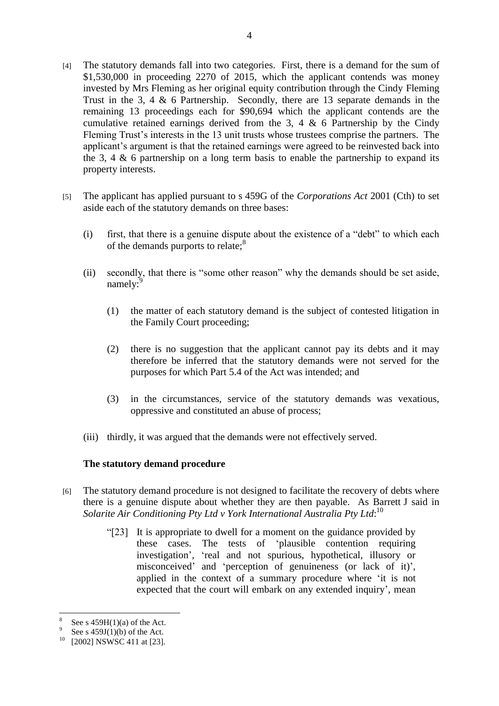- [4] The statutory demands fall into two categories. First, there is a demand for the sum of \$1,530,000 in proceeding 2270 of 2015, which the applicant contends was money invested by Mrs Fleming as her original equity contribution through the Cindy Fleming Trust in the 3, 4 & 6 Partnership. Secondly, there are 13 separate demands in the remaining 13 proceedings each for \$90,694 which the applicant contends are the cumulative retained earnings derived from the 3, 4  $\&$  6 Partnership by the Cindy Fleming Trust's interests in the 13 unit trusts whose trustees comprise the partners. The applicant's argument is that the retained earnings were agreed to be reinvested back into the 3, 4  $\&$  6 partnership on a long term basis to enable the partnership to expand its property interests.
- [5] The applicant has applied pursuant to s 459G of the *Corporations Act* 2001 (Cth) to set aside each of the statutory demands on three bases:
	- (i) first, that there is a genuine dispute about the existence of a "debt" to which each of the demands purports to relate:<sup>8</sup>
	- (ii) secondly, that there is "some other reason" why the demands should be set aside, namely:<sup>9</sup>
		- (1) the matter of each statutory demand is the subject of contested litigation in the Family Court proceeding;
		- (2) there is no suggestion that the applicant cannot pay its debts and it may therefore be inferred that the statutory demands were not served for the purposes for which Part 5.4 of the Act was intended; and
		- (3) in the circumstances, service of the statutory demands was vexatious, oppressive and constituted an abuse of process;
	- (iii) thirdly, it was argued that the demands were not effectively served.

## **The statutory demand procedure**

- [6] The statutory demand procedure is not designed to facilitate the recovery of debts where there is a genuine dispute about whether they are then payable. As Barrett J said in *Solarite Air Conditioning Pty Ltd v York International Australia Pty Ltd*: 10
	- "[23] It is appropriate to dwell for a moment on the guidance provided by these cases. The tests of 'plausible contention requiring investigation', 'real and not spurious, hypothetical, illusory or misconceived' and 'perception of genuineness (or lack of it)', applied in the context of a summary procedure where 'it is not expected that the court will embark on any extended inquiry', mean

 $\overline{a}$ 

<sup>8</sup> See s  $459H(1)(a)$  of the Act.

<sup>9</sup> See s  $459J(1)(b)$  of the Act.

<sup>&</sup>lt;sup>10</sup> [2002] NSWSC 411 at [23].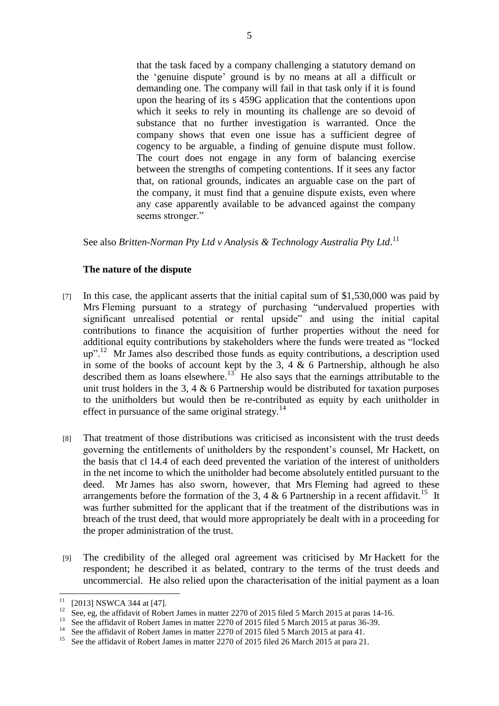that the task faced by a company challenging a statutory demand on the 'genuine dispute' ground is by no means at all a difficult or demanding one. The company will fail in that task only if it is found upon the hearing of its s 459G application that the contentions upon which it seeks to rely in mounting its challenge are so devoid of substance that no further investigation is warranted. Once the company shows that even one issue has a sufficient degree of cogency to be arguable, a finding of genuine dispute must follow. The court does not engage in any form of balancing exercise between the strengths of competing contentions. If it sees any factor that, on rational grounds, indicates an arguable case on the part of the company, it must find that a genuine dispute exists, even where any case apparently available to be advanced against the company seems stronger."

See also *Britten-Norman Pty Ltd v Analysis & Technology Australia Pty Ltd*.<sup>11</sup>

## **The nature of the dispute**

- [7] In this case, the applicant asserts that the initial capital sum of \$1,530,000 was paid by Mrs Fleming pursuant to a strategy of purchasing "undervalued properties with significant unrealised potential or rental upside" and using the initial capital contributions to finance the acquisition of further properties without the need for additional equity contributions by stakeholders where the funds were treated as "locked up".<sup>12</sup> Mr James also described those funds as equity contributions, a description used in some of the books of account kept by the 3, 4  $\&$  6 Partnership, although he also described them as loans elsewhere.<sup>13</sup> He also says that the earnings attributable to the unit trust holders in the 3, 4  $\&$  6 Partnership would be distributed for taxation purposes to the unitholders but would then be re-contributed as equity by each unitholder in effect in pursuance of the same original strategy.<sup>14</sup>
- [8] That treatment of those distributions was criticised as inconsistent with the trust deeds governing the entitlements of unitholders by the respondent's counsel, Mr Hackett, on the basis that cl 14.4 of each deed prevented the variation of the interest of unitholders in the net income to which the unitholder had become absolutely entitled pursuant to the deed. Mr James has also sworn, however, that Mrs Fleming had agreed to these arrangements before the formation of the 3, 4  $\&$  6 Partnership in a recent affidavit.<sup>15</sup> It was further submitted for the applicant that if the treatment of the distributions was in breach of the trust deed, that would more appropriately be dealt with in a proceeding for the proper administration of the trust.
- [9] The credibility of the alleged oral agreement was criticised by Mr Hackett for the respondent; he described it as belated, contrary to the terms of the trust deeds and uncommercial. He also relied upon the characterisation of the initial payment as a loan

 $11$  [2013] NSWCA 344 at [47].

 $12$  See, eg, the affidavit of Robert James in matter 2270 of 2015 filed 5 March 2015 at paras 14-16.

<sup>&</sup>lt;sup>13</sup> See the affidavit of Robert James in matter 2270 of 2015 filed 5 March 2015 at paras 36-39.

<sup>&</sup>lt;sup>14</sup> See the affidavit of Robert James in matter 2270 of 2015 filed 5 March 2015 at para 41.

See the affidavit of Robert James in matter 2270 of 2015 filed 26 March 2015 at para 21.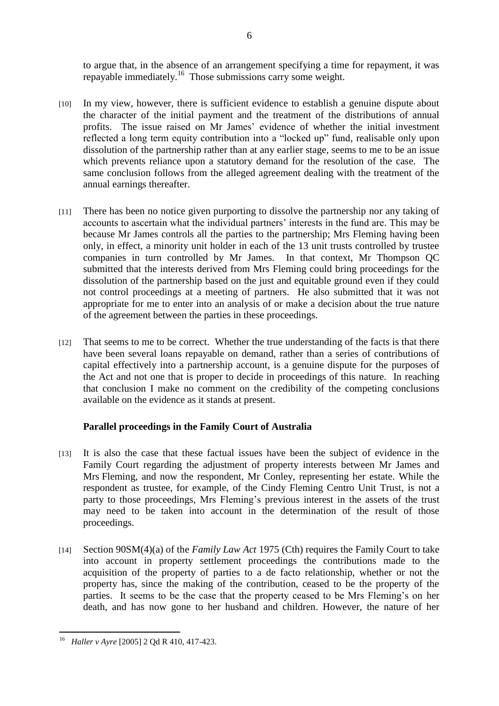to argue that, in the absence of an arrangement specifying a time for repayment, it was repayable immediately.<sup>16</sup> Those submissions carry some weight.

- [10] In my view, however, there is sufficient evidence to establish a genuine dispute about the character of the initial payment and the treatment of the distributions of annual profits. The issue raised on Mr James' evidence of whether the initial investment reflected a long term equity contribution into a "locked up" fund, realisable only upon dissolution of the partnership rather than at any earlier stage, seems to me to be an issue which prevents reliance upon a statutory demand for the resolution of the case. The same conclusion follows from the alleged agreement dealing with the treatment of the annual earnings thereafter.
- [11] There has been no notice given purporting to dissolve the partnership nor any taking of accounts to ascertain what the individual partners' interests in the fund are. This may be because Mr James controls all the parties to the partnership; Mrs Fleming having been only, in effect, a minority unit holder in each of the 13 unit trusts controlled by trustee companies in turn controlled by Mr James. In that context, Mr Thompson QC submitted that the interests derived from Mrs Fleming could bring proceedings for the dissolution of the partnership based on the just and equitable ground even if they could not control proceedings at a meeting of partners. He also submitted that it was not appropriate for me to enter into an analysis of or make a decision about the true nature of the agreement between the parties in these proceedings.
- [12] That seems to me to be correct. Whether the true understanding of the facts is that there have been several loans repayable on demand, rather than a series of contributions of capital effectively into a partnership account, is a genuine dispute for the purposes of the Act and not one that is proper to decide in proceedings of this nature. In reaching that conclusion I make no comment on the credibility of the competing conclusions available on the evidence as it stands at present.

# **Parallel proceedings in the Family Court of Australia**

- [13] It is also the case that these factual issues have been the subject of evidence in the Family Court regarding the adjustment of property interests between Mr James and Mrs Fleming, and now the respondent, Mr Conley, representing her estate. While the respondent as trustee, for example, of the Cindy Fleming Centro Unit Trust, is not a party to those proceedings, Mrs Fleming's previous interest in the assets of the trust may need to be taken into account in the determination of the result of those proceedings.
- [14] Section 90SM(4)(a) of the *Family Law Act* 1975 (Cth) requires the Family Court to take into account in property settlement proceedings the contributions made to the acquisition of the property of parties to a de facto relationship, whether or not the property has, since the making of the contribution, ceased to be the property of the parties. It seems to be the case that the property ceased to be Mrs Fleming's on her death, and has now gone to her husband and children. However, the nature of her

 $\overline{a}$ <sup>16</sup> *Haller v Ayre* [2005] 2 Qd R 410, 417-423.